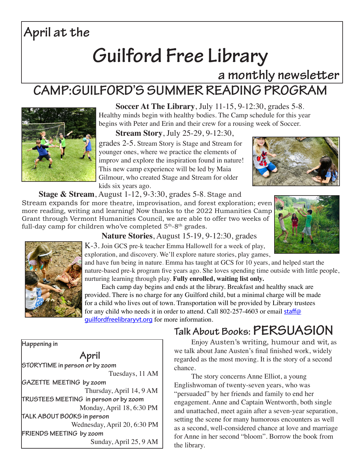## **April at the**

# **Guilford Free Library**

**a monthly newsletter** 

### **CAMP:GUILFORD'S SUMMER READING PROGRAM**



**Soccer At The Library**, July 11-15, 9-12:30, grades 5-8. Healthy minds begin with healthy bodies. The Camp schedule for this year begins with Peter and Erin and their crew for a rousing week of Soccer.

**Stream Story**, July 25-29, 9-12:30, grades 2-5. Stream Story is Stage and Stream for younger ones, where we practice the elements of improv and explore the inspiration found in nature! This new camp experience will be led by Maia Gilmour, who created Stage and Stream for older



**Stage & Stream**, August 1-12, 9-3:30, grades 5-8. Stage and

Stream expands for more theatre, improvisation, and forest exploration; even more reading, writing and learning! Now thanks to the 2022 Humanities Camp Grant through Vermont Humanities Council, we are able to offer two weeks of full-day camp for children who've completed  $5<sup>th</sup>-8<sup>th</sup>$  grades.







**Nature Stories**, August 15-19, 9-12:30, grades

K-3. Join GCS pre-k teacher Emma Hallowell for a week of play, exploration, and discovery. We'll explore nature stories, play games,

and have fun being in nature. Emma has taught at GCS for 10 years, and helped start the nature-based pre-k program five years ago. She loves spending time outside with little people, nurturing learning through play. **Fully enrolled, waiting list only.** 

Each camp day begins and ends at the library. Breakfast and healthy snack are provided. There is no charge for any Guilford child, but a minimal charge will be made for a child who lives out of town. Transportation will be provided by Library trustees for any child who needs it in order to attend. Call 802-257-4603 or email staff@ guilfordfreelibraryvt.org for more information.

#### **Talk About Books: PERSUASION**

Enjoy Austen's writing, humour and wit, as we talk about Jane Austen's final finished work, widely regarded as the most moving. It is the story of a second chance.

The story concerns Anne Elliot, a young Englishwoman of twenty-seven years, who was "persuaded" by her friends and family to end her engagement. Anne and Captain Wentworth, both single and unattached, meet again after a seven-year separation, setting the scene for many humorous encounters as well as a second, well-considered chance at love and marriage for Anne in her second "bloom". Borrow the book from the library.

**Happening in**

**April**

**STORYTIME in person or by zoom** Tuesdays, 11 AM **GAZETTE MEETING by zoom** Thursday, April 14, 9 AM **TRUSTEES MEETING in person or by zoom** Monday, April 18, 6:30 PM **TALK ABOUT BOOKS in person** Wednesday, April 20, 6:30 PM **FRIENDS MEETING by zoom** Sunday, April 25, 9 AM